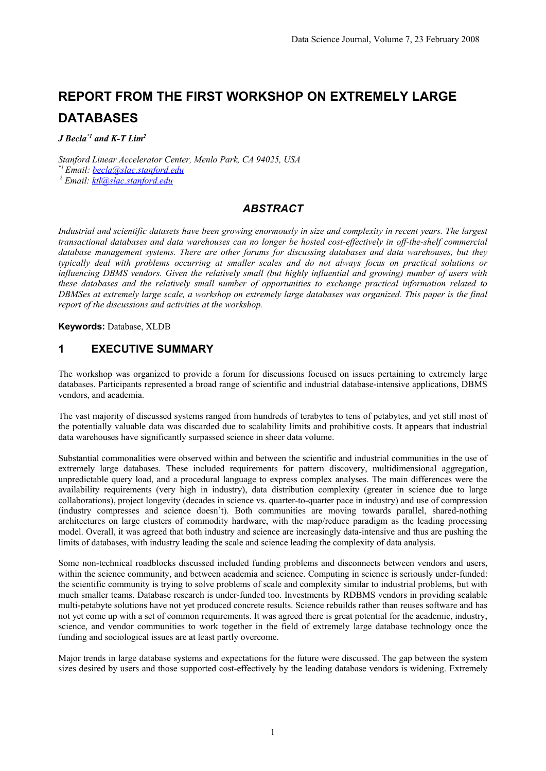# **REPORT FROM THE FIRST WORKSHOP ON EXTREMELY LARGE DATABASES**

*J Becla\*1 and K-T Lim2*

*Stanford Linear Accelerator Center, Menlo Park, CA 94025, USA \*1 Email: becla@slac.stanford.edu 2 Email: ktl@slac.stanford.edu*

#### *ABSTRACT*

*Industrial and scientific datasets have been growing enormously in size and complexity in recent years. The largest transactional databases and data warehouses can no longer be hosted cost-effectively in off-the-shelf commercial database management systems. There are other forums for discussing databases and data warehouses, but they typically deal with problems occurring at smaller scales and do not always focus on practical solutions or influencing DBMS vendors. Given the relatively small (but highly influential and growing) number of users with these databases and the relatively small number of opportunities to exchange practical information related to DBMSes at extremely large scale, a workshop on extremely large databases was organized. This paper is the final report of the discussions and activities at the workshop.*

**Keywords:** Database, XLDB

### **1 EXECUTIVE SUMMARY**

The workshop was organized to provide a forum for discussions focused on issues pertaining to extremely large databases. Participants represented a broad range of scientific and industrial database-intensive applications, DBMS vendors, and academia.

The vast majority of discussed systems ranged from hundreds of terabytes to tens of petabytes, and yet still most of the potentially valuable data was discarded due to scalability limits and prohibitive costs. It appears that industrial data warehouses have significantly surpassed science in sheer data volume.

Substantial commonalities were observed within and between the scientific and industrial communities in the use of extremely large databases. These included requirements for pattern discovery, multidimensional aggregation, unpredictable query load, and a procedural language to express complex analyses. The main differences were the availability requirements (very high in industry), data distribution complexity (greater in science due to large collaborations), project longevity (decades in science vs. quarter-to-quarter pace in industry) and use of compression (industry compresses and science doesn't). Both communities are moving towards parallel, shared-nothing architectures on large clusters of commodity hardware, with the map/reduce paradigm as the leading processing model. Overall, it was agreed that both industry and science are increasingly data-intensive and thus are pushing the limits of databases, with industry leading the scale and science leading the complexity of data analysis.

Some non-technical roadblocks discussed included funding problems and disconnects between vendors and users, within the science community, and between academia and science. Computing in science is seriously under-funded: the scientific community is trying to solve problems of scale and complexity similar to industrial problems, but with much smaller teams. Database research is under-funded too. Investments by RDBMS vendors in providing scalable multi-petabyte solutions have not yet produced concrete results. Science rebuilds rather than reuses software and has not yet come up with a set of common requirements. It was agreed there is great potential for the academic, industry, science, and vendor communities to work together in the field of extremely large database technology once the funding and sociological issues are at least partly overcome.

Major trends in large database systems and expectations for the future were discussed. The gap between the system sizes desired by users and those supported cost-effectively by the leading database vendors is widening. Extremely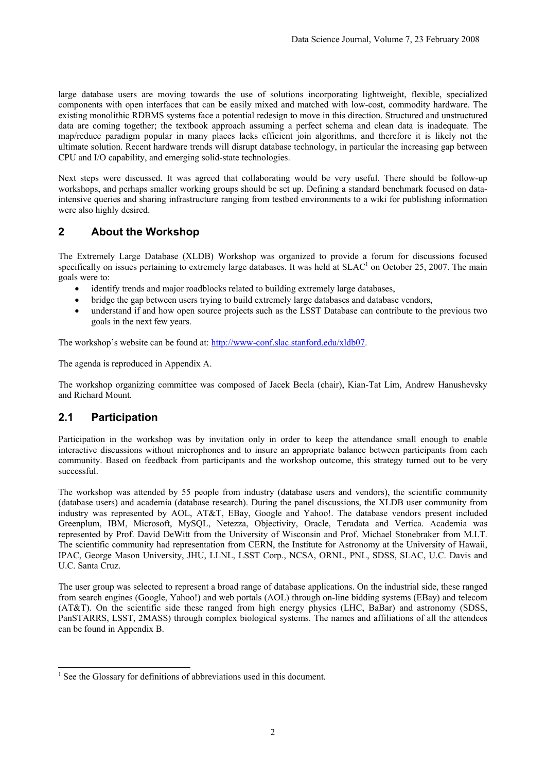large database users are moving towards the use of solutions incorporating lightweight, flexible, specialized components with open interfaces that can be easily mixed and matched with low-cost, commodity hardware. The existing monolithic RDBMS systems face a potential redesign to move in this direction. Structured and unstructured data are coming together; the textbook approach assuming a perfect schema and clean data is inadequate. The map/reduce paradigm popular in many places lacks efficient join algorithms, and therefore it is likely not the ultimate solution. Recent hardware trends will disrupt database technology, in particular the increasing gap between CPU and I/O capability, and emerging solid-state technologies.

Next steps were discussed. It was agreed that collaborating would be very useful. There should be follow-up workshops, and perhaps smaller working groups should be set up. Defining a standard benchmark focused on dataintensive queries and sharing infrastructure ranging from testbed environments to a wiki for publishing information were also highly desired.

### **2 About the Workshop**

The Extremely Large Database (XLDB) Workshop was organized to provide a forum for discussions focused specifically on issues pertaining to extremely large databases. It was held at SLAC<sup>1</sup> on October 25, 2007. The main goals were to:

- identify trends and major roadblocks related to building extremely large databases,
- bridge the gap between users trying to build extremely large databases and database vendors,
- understand if and how open source projects such as the LSST Database can contribute to the previous two goals in the next few years.

The workshop's website can be found at: http://www-conf.slac.stanford.edu/xldb07.

The agenda is reproduced in Appendix A.

The workshop organizing committee was composed of Jacek Becla (chair), Kian-Tat Lim, Andrew Hanushevsky and Richard Mount.

# **2.1 Participation**

Participation in the workshop was by invitation only in order to keep the attendance small enough to enable interactive discussions without microphones and to insure an appropriate balance between participants from each community. Based on feedback from participants and the workshop outcome, this strategy turned out to be very successful.

The workshop was attended by 55 people from industry (database users and vendors), the scientific community (database users) and academia (database research). During the panel discussions, the XLDB user community from industry was represented by AOL, AT&T, EBay, Google and Yahoo!. The database vendors present included Greenplum, IBM, Microsoft, MySQL, Netezza, Objectivity, Oracle, Teradata and Vertica. Academia was represented by Prof. David DeWitt from the University of Wisconsin and Prof. Michael Stonebraker from M.I.T. The scientific community had representation from CERN, the Institute for Astronomy at the University of Hawaii, IPAC, George Mason University, JHU, LLNL, LSST Corp., NCSA, ORNL, PNL, SDSS, SLAC, U.C. Davis and U.C. Santa Cruz.

The user group was selected to represent a broad range of database applications. On the industrial side, these ranged from search engines (Google, Yahoo!) and web portals (AOL) through on-line bidding systems (EBay) and telecom (AT&T). On the scientific side these ranged from high energy physics (LHC, BaBar) and astronomy (SDSS, PanSTARRS, LSST, 2MASS) through complex biological systems. The names and affiliations of all the attendees can be found in Appendix B.

l <sup>1</sup> See the Glossary for definitions of abbreviations used in this document.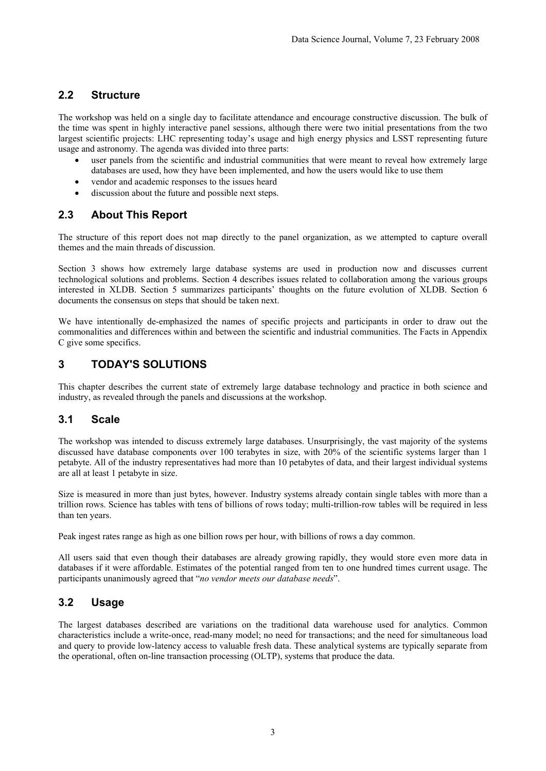### **2.2 Structure**

The workshop was held on a single day to facilitate attendance and encourage constructive discussion. The bulk of the time was spent in highly interactive panel sessions, although there were two initial presentations from the two largest scientific projects: LHC representing today's usage and high energy physics and LSST representing future usage and astronomy. The agenda was divided into three parts:

- user panels from the scientific and industrial communities that were meant to reveal how extremely large databases are used, how they have been implemented, and how the users would like to use them
- vendor and academic responses to the issues heard
- discussion about the future and possible next steps.

# **2.3 About This Report**

The structure of this report does not map directly to the panel organization, as we attempted to capture overall themes and the main threads of discussion.

Section 3 shows how extremely large database systems are used in production now and discusses current technological solutions and problems. Section 4 describes issues related to collaboration among the various groups interested in XLDB. Section 5 summarizes participants' thoughts on the future evolution of XLDB. Section 6 documents the consensus on steps that should be taken next.

We have intentionally de-emphasized the names of specific projects and participants in order to draw out the commonalities and differences within and between the scientific and industrial communities. The Facts in Appendix C give some specifics.

### **3 TODAY'S SOLUTIONS**

This chapter describes the current state of extremely large database technology and practice in both science and industry, as revealed through the panels and discussions at the workshop.

#### **3.1 Scale**

The workshop was intended to discuss extremely large databases. Unsurprisingly, the vast majority of the systems discussed have database components over 100 terabytes in size, with 20% of the scientific systems larger than 1 petabyte. All of the industry representatives had more than 10 petabytes of data, and their largest individual systems are all at least 1 petabyte in size.

Size is measured in more than just bytes, however. Industry systems already contain single tables with more than a trillion rows. Science has tables with tens of billions of rows today; multi-trillion-row tables will be required in less than ten years.

Peak ingest rates range as high as one billion rows per hour, with billions of rows a day common.

All users said that even though their databases are already growing rapidly, they would store even more data in databases if it were affordable. Estimates of the potential ranged from ten to one hundred times current usage. The participants unanimously agreed that "*no vendor meets our database needs*".

#### **3.2 Usage**

The largest databases described are variations on the traditional data warehouse used for analytics. Common characteristics include a write-once, read-many model; no need for transactions; and the need for simultaneous load and query to provide low-latency access to valuable fresh data. These analytical systems are typically separate from the operational, often on-line transaction processing (OLTP), systems that produce the data.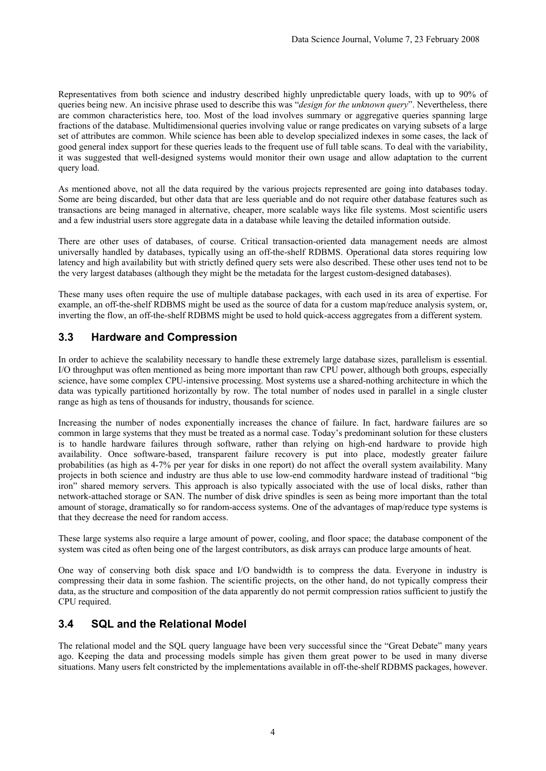Representatives from both science and industry described highly unpredictable query loads, with up to 90% of queries being new. An incisive phrase used to describe this was "*design for the unknown query*". Nevertheless, there are common characteristics here, too. Most of the load involves summary or aggregative queries spanning large fractions of the database. Multidimensional queries involving value or range predicates on varying subsets of a large set of attributes are common. While science has been able to develop specialized indexes in some cases, the lack of good general index support for these queries leads to the frequent use of full table scans. To deal with the variability, it was suggested that well-designed systems would monitor their own usage and allow adaptation to the current query load.

As mentioned above, not all the data required by the various projects represented are going into databases today. Some are being discarded, but other data that are less queriable and do not require other database features such as transactions are being managed in alternative, cheaper, more scalable ways like file systems. Most scientific users and a few industrial users store aggregate data in a database while leaving the detailed information outside.

There are other uses of databases, of course. Critical transaction-oriented data management needs are almost universally handled by databases, typically using an off-the-shelf RDBMS. Operational data stores requiring low latency and high availability but with strictly defined query sets were also described. These other uses tend not to be the very largest databases (although they might be the metadata for the largest custom-designed databases).

These many uses often require the use of multiple database packages, with each used in its area of expertise. For example, an off-the-shelf RDBMS might be used as the source of data for a custom map/reduce analysis system, or, inverting the flow, an off-the-shelf RDBMS might be used to hold quick-access aggregates from a different system.

# **3.3 Hardware and Compression**

In order to achieve the scalability necessary to handle these extremely large database sizes, parallelism is essential. I/O throughput was often mentioned as being more important than raw CPU power, although both groups, especially science, have some complex CPU-intensive processing. Most systems use a shared-nothing architecture in which the data was typically partitioned horizontally by row. The total number of nodes used in parallel in a single cluster range as high as tens of thousands for industry, thousands for science.

Increasing the number of nodes exponentially increases the chance of failure. In fact, hardware failures are so common in large systems that they must be treated as a normal case. Today's predominant solution for these clusters is to handle hardware failures through software, rather than relying on high-end hardware to provide high availability. Once software-based, transparent failure recovery is put into place, modestly greater failure probabilities (as high as 4-7% per year for disks in one report) do not affect the overall system availability. Many projects in both science and industry are thus able to use low-end commodity hardware instead of traditional "big iron" shared memory servers. This approach is also typically associated with the use of local disks, rather than network-attached storage or SAN. The number of disk drive spindles is seen as being more important than the total amount of storage, dramatically so for random-access systems. One of the advantages of map/reduce type systems is that they decrease the need for random access.

These large systems also require a large amount of power, cooling, and floor space; the database component of the system was cited as often being one of the largest contributors, as disk arrays can produce large amounts of heat.

One way of conserving both disk space and I/O bandwidth is to compress the data. Everyone in industry is compressing their data in some fashion. The scientific projects, on the other hand, do not typically compress their data, as the structure and composition of the data apparently do not permit compression ratios sufficient to justify the CPU required.

# **3.4 SQL and the Relational Model**

The relational model and the SQL query language have been very successful since the "Great Debate" many years ago. Keeping the data and processing models simple has given them great power to be used in many diverse situations. Many users felt constricted by the implementations available in off-the-shelf RDBMS packages, however.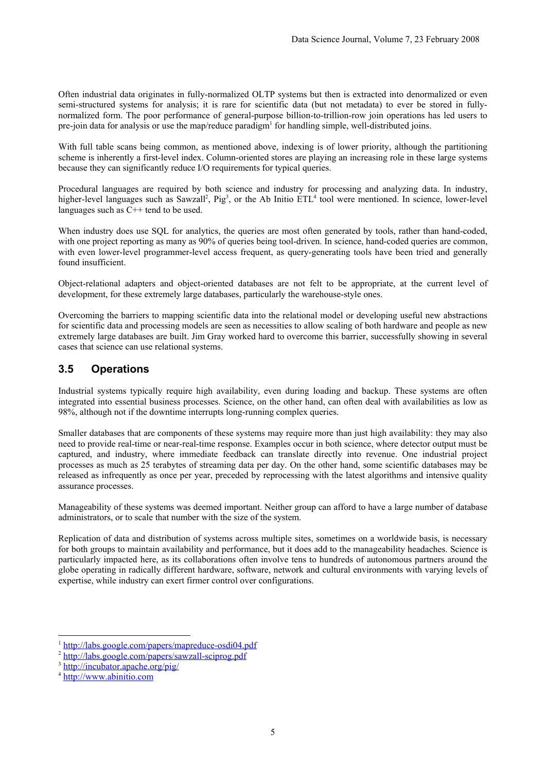Often industrial data originates in fully-normalized OLTP systems but then is extracted into denormalized or even semi-structured systems for analysis; it is rare for scientific data (but not metadata) to ever be stored in fullynormalized form. The poor performance of general-purpose billion-to-trillion-row join operations has led users to pre-join data for analysis or use the map/reduce paradigm<sup>1</sup> for handling simple, well-distributed joins.

With full table scans being common, as mentioned above, indexing is of lower priority, although the partitioning scheme is inherently a first-level index. Column-oriented stores are playing an increasing role in these large systems because they can significantly reduce I/O requirements for typical queries.

Procedural languages are required by both science and industry for processing and analyzing data. In industry, higher-level languages such as Sawzall<sup>2</sup>, Pig<sup>3</sup>, or the Ab Initio  $ETL<sup>4</sup>$  tool were mentioned. In science, lower-level languages such as  $C++$  tend to be used.

When industry does use SQL for analytics, the queries are most often generated by tools, rather than hand-coded, with one project reporting as many as 90% of queries being tool-driven. In science, hand-coded queries are common, with even lower-level programmer-level access frequent, as query-generating tools have been tried and generally found insufficient.

Object-relational adapters and object-oriented databases are not felt to be appropriate, at the current level of development, for these extremely large databases, particularly the warehouse-style ones.

Overcoming the barriers to mapping scientific data into the relational model or developing useful new abstractions for scientific data and processing models are seen as necessities to allow scaling of both hardware and people as new extremely large databases are built. Jim Gray worked hard to overcome this barrier, successfully showing in several cases that science can use relational systems.

# **3.5 Operations**

Industrial systems typically require high availability, even during loading and backup. These systems are often integrated into essential business processes. Science, on the other hand, can often deal with availabilities as low as 98%, although not if the downtime interrupts long-running complex queries.

Smaller databases that are components of these systems may require more than just high availability: they may also need to provide real-time or near-real-time response. Examples occur in both science, where detector output must be captured, and industry, where immediate feedback can translate directly into revenue. One industrial project processes as much as 25 terabytes of streaming data per day. On the other hand, some scientific databases may be released as infrequently as once per year, preceded by reprocessing with the latest algorithms and intensive quality assurance processes.

Manageability of these systems was deemed important. Neither group can afford to have a large number of database administrators, or to scale that number with the size of the system.

Replication of data and distribution of systems across multiple sites, sometimes on a worldwide basis, is necessary for both groups to maintain availability and performance, but it does add to the manageability headaches. Science is particularly impacted here, as its collaborations often involve tens to hundreds of autonomous partners around the globe operating in radically different hardware, software, network and cultural environments with varying levels of expertise, while industry can exert firmer control over configurations.

l http://labs.google.com/papers/mapreduce-osdi04.pdf

<sup>2</sup> http://labs.google.com/papers/sawzall-sciprog.pdf

<sup>3</sup> http://incubator.apache.org/pig/

<sup>4</sup> http://www.abinitio.com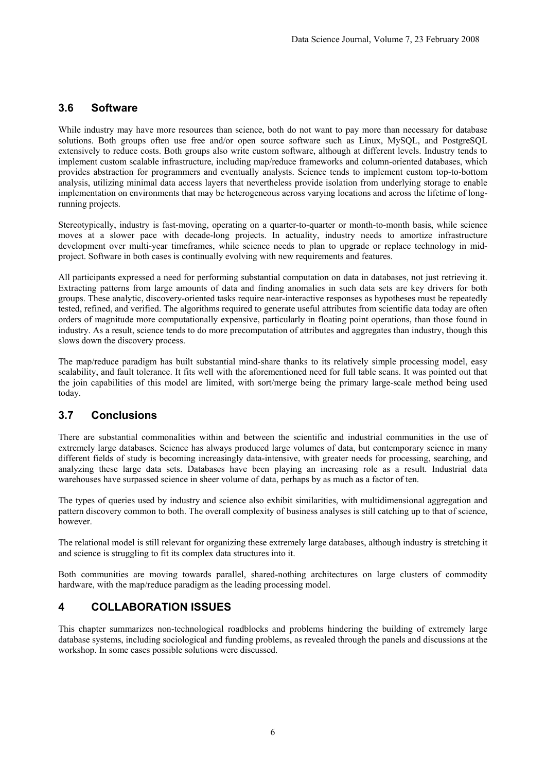#### **3.6 Software**

While industry may have more resources than science, both do not want to pay more than necessary for database solutions. Both groups often use free and/or open source software such as Linux, MySQL, and PostgreSQL extensively to reduce costs. Both groups also write custom software, although at different levels. Industry tends to implement custom scalable infrastructure, including map/reduce frameworks and column-oriented databases, which provides abstraction for programmers and eventually analysts. Science tends to implement custom top-to-bottom analysis, utilizing minimal data access layers that nevertheless provide isolation from underlying storage to enable implementation on environments that may be heterogeneous across varying locations and across the lifetime of longrunning projects.

Stereotypically, industry is fast-moving, operating on a quarter-to-quarter or month-to-month basis, while science moves at a slower pace with decade-long projects. In actuality, industry needs to amortize infrastructure development over multi-year timeframes, while science needs to plan to upgrade or replace technology in midproject. Software in both cases is continually evolving with new requirements and features.

All participants expressed a need for performing substantial computation on data in databases, not just retrieving it. Extracting patterns from large amounts of data and finding anomalies in such data sets are key drivers for both groups. These analytic, discovery-oriented tasks require near-interactive responses as hypotheses must be repeatedly tested, refined, and verified. The algorithms required to generate useful attributes from scientific data today are often orders of magnitude more computationally expensive, particularly in floating point operations, than those found in industry. As a result, science tends to do more precomputation of attributes and aggregates than industry, though this slows down the discovery process.

The map/reduce paradigm has built substantial mind-share thanks to its relatively simple processing model, easy scalability, and fault tolerance. It fits well with the aforementioned need for full table scans. It was pointed out that the join capabilities of this model are limited, with sort/merge being the primary large-scale method being used today.

#### **3.7 Conclusions**

There are substantial commonalities within and between the scientific and industrial communities in the use of extremely large databases. Science has always produced large volumes of data, but contemporary science in many different fields of study is becoming increasingly data-intensive, with greater needs for processing, searching, and analyzing these large data sets. Databases have been playing an increasing role as a result. Industrial data warehouses have surpassed science in sheer volume of data, perhaps by as much as a factor of ten.

The types of queries used by industry and science also exhibit similarities, with multidimensional aggregation and pattern discovery common to both. The overall complexity of business analyses is still catching up to that of science, however.

The relational model is still relevant for organizing these extremely large databases, although industry is stretching it and science is struggling to fit its complex data structures into it.

Both communities are moving towards parallel, shared-nothing architectures on large clusters of commodity hardware, with the map/reduce paradigm as the leading processing model.

# **4 COLLABORATION ISSUES**

This chapter summarizes non-technological roadblocks and problems hindering the building of extremely large database systems, including sociological and funding problems, as revealed through the panels and discussions at the workshop. In some cases possible solutions were discussed.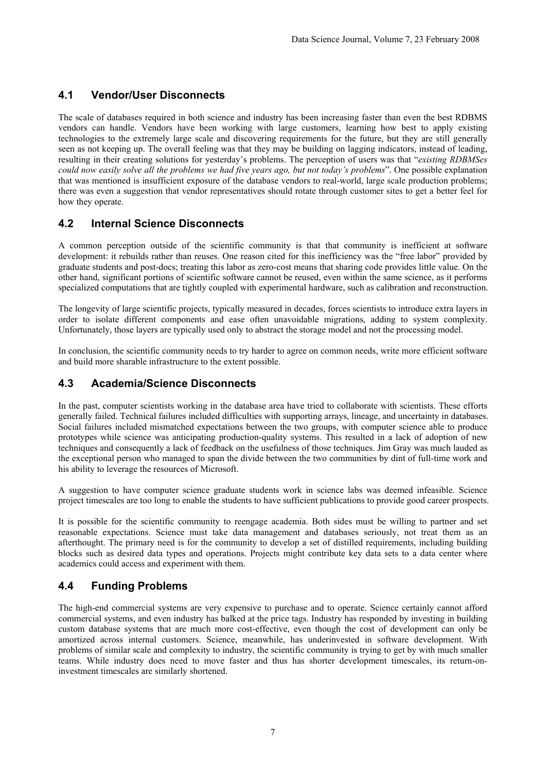# **4.1 Vendor/User Disconnects**

The scale of databases required in both science and industry has been increasing faster than even the best RDBMS vendors can handle. Vendors have been working with large customers, learning how best to apply existing technologies to the extremely large scale and discovering requirements for the future, but they are still generally seen as not keeping up. The overall feeling was that they may be building on lagging indicators, instead of leading, resulting in their creating solutions for yesterday's problems. The perception of users was that "*existing RDBMSes could now easily solve all the problems we had five years ago, but not today's problems*". One possible explanation that was mentioned is insufficient exposure of the database vendors to real-world, large scale production problems; there was even a suggestion that vendor representatives should rotate through customer sites to get a better feel for how they operate.

# **4.2 Internal Science Disconnects**

A common perception outside of the scientific community is that that community is inefficient at software development: it rebuilds rather than reuses. One reason cited for this inefficiency was the "free labor" provided by graduate students and post-docs; treating this labor as zero-cost means that sharing code provides little value. On the other hand, significant portions of scientific software cannot be reused, even within the same science, as it performs specialized computations that are tightly coupled with experimental hardware, such as calibration and reconstruction.

The longevity of large scientific projects, typically measured in decades, forces scientists to introduce extra layers in order to isolate different components and ease often unavoidable migrations, adding to system complexity. Unfortunately, those layers are typically used only to abstract the storage model and not the processing model.

In conclusion, the scientific community needs to try harder to agree on common needs, write more efficient software and build more sharable infrastructure to the extent possible.

#### **4.3 Academia/Science Disconnects**

In the past, computer scientists working in the database area have tried to collaborate with scientists. These efforts generally failed. Technical failures included difficulties with supporting arrays, lineage, and uncertainty in databases. Social failures included mismatched expectations between the two groups, with computer science able to produce prototypes while science was anticipating production-quality systems. This resulted in a lack of adoption of new techniques and consequently a lack of feedback on the usefulness of those techniques. Jim Gray was much lauded as the exceptional person who managed to span the divide between the two communities by dint of full-time work and his ability to leverage the resources of Microsoft.

A suggestion to have computer science graduate students work in science labs was deemed infeasible. Science project timescales are too long to enable the students to have sufficient publications to provide good career prospects.

It is possible for the scientific community to reengage academia. Both sides must be willing to partner and set reasonable expectations. Science must take data management and databases seriously, not treat them as an afterthought. The primary need is for the community to develop a set of distilled requirements, including building blocks such as desired data types and operations. Projects might contribute key data sets to a data center where academics could access and experiment with them.

# **4.4 Funding Problems**

The high-end commercial systems are very expensive to purchase and to operate. Science certainly cannot afford commercial systems, and even industry has balked at the price tags. Industry has responded by investing in building custom database systems that are much more cost-effective, even though the cost of development can only be amortized across internal customers. Science, meanwhile, has underinvested in software development. With problems of similar scale and complexity to industry, the scientific community is trying to get by with much smaller teams. While industry does need to move faster and thus has shorter development timescales, its return-oninvestment timescales are similarly shortened.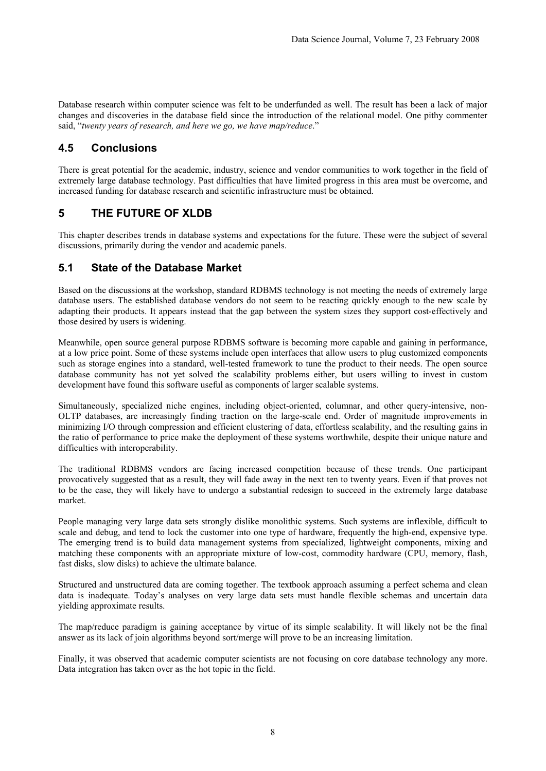Database research within computer science was felt to be underfunded as well. The result has been a lack of major changes and discoveries in the database field since the introduction of the relational model. One pithy commenter said, "*twenty years of research, and here we go, we have map/reduce*."

#### **4.5 Conclusions**

There is great potential for the academic, industry, science and vendor communities to work together in the field of extremely large database technology. Past difficulties that have limited progress in this area must be overcome, and increased funding for database research and scientific infrastructure must be obtained.

#### **5 THE FUTURE OF XLDB**

This chapter describes trends in database systems and expectations for the future. These were the subject of several discussions, primarily during the vendor and academic panels.

### **5.1 State of the Database Market**

Based on the discussions at the workshop, standard RDBMS technology is not meeting the needs of extremely large database users. The established database vendors do not seem to be reacting quickly enough to the new scale by adapting their products. It appears instead that the gap between the system sizes they support cost-effectively and those desired by users is widening.

Meanwhile, open source general purpose RDBMS software is becoming more capable and gaining in performance, at a low price point. Some of these systems include open interfaces that allow users to plug customized components such as storage engines into a standard, well-tested framework to tune the product to their needs. The open source database community has not yet solved the scalability problems either, but users willing to invest in custom development have found this software useful as components of larger scalable systems.

Simultaneously, specialized niche engines, including object-oriented, columnar, and other query-intensive, non-OLTP databases, are increasingly finding traction on the large-scale end. Order of magnitude improvements in minimizing I/O through compression and efficient clustering of data, effortless scalability, and the resulting gains in the ratio of performance to price make the deployment of these systems worthwhile, despite their unique nature and difficulties with interoperability.

The traditional RDBMS vendors are facing increased competition because of these trends. One participant provocatively suggested that as a result, they will fade away in the next ten to twenty years. Even if that proves not to be the case, they will likely have to undergo a substantial redesign to succeed in the extremely large database market.

People managing very large data sets strongly dislike monolithic systems. Such systems are inflexible, difficult to scale and debug, and tend to lock the customer into one type of hardware, frequently the high-end, expensive type. The emerging trend is to build data management systems from specialized, lightweight components, mixing and matching these components with an appropriate mixture of low-cost, commodity hardware (CPU, memory, flash, fast disks, slow disks) to achieve the ultimate balance.

Structured and unstructured data are coming together. The textbook approach assuming a perfect schema and clean data is inadequate. Today's analyses on very large data sets must handle flexible schemas and uncertain data yielding approximate results.

The map/reduce paradigm is gaining acceptance by virtue of its simple scalability. It will likely not be the final answer as its lack of join algorithms beyond sort/merge will prove to be an increasing limitation.

Finally, it was observed that academic computer scientists are not focusing on core database technology any more. Data integration has taken over as the hot topic in the field.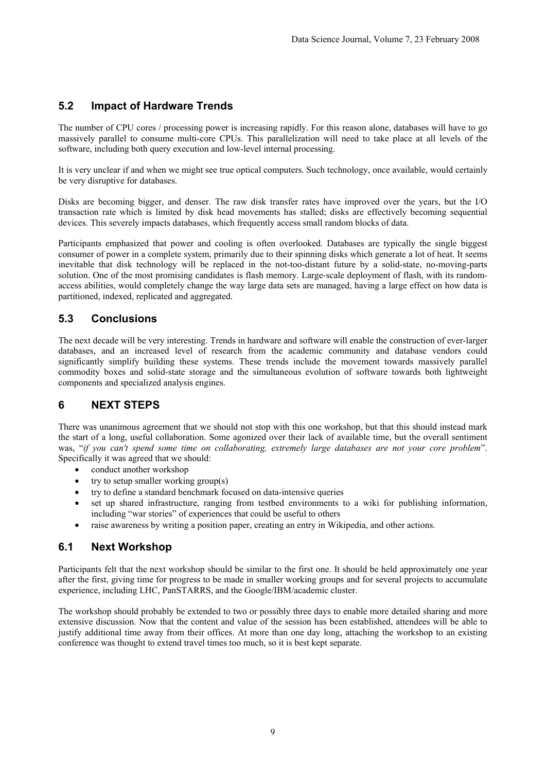# **5.2 Impact of Hardware Trends**

The number of CPU cores / processing power is increasing rapidly. For this reason alone, databases will have to go massively parallel to consume multi-core CPUs. This parallelization will need to take place at all levels of the software, including both query execution and low-level internal processing.

It is very unclear if and when we might see true optical computers. Such technology, once available, would certainly be very disruptive for databases.

Disks are becoming bigger, and denser. The raw disk transfer rates have improved over the years, but the I/O transaction rate which is limited by disk head movements has stalled; disks are effectively becoming sequential devices. This severely impacts databases, which frequently access small random blocks of data.

Participants emphasized that power and cooling is often overlooked. Databases are typically the single biggest consumer of power in a complete system, primarily due to their spinning disks which generate a lot of heat. It seems inevitable that disk technology will be replaced in the not-too-distant future by a solid-state, no-moving-parts solution. One of the most promising candidates is flash memory. Large-scale deployment of flash, with its randomaccess abilities, would completely change the way large data sets are managed, having a large effect on how data is partitioned, indexed, replicated and aggregated.

# **5.3 Conclusions**

The next decade will be very interesting. Trends in hardware and software will enable the construction of ever-larger databases, and an increased level of research from the academic community and database vendors could significantly simplify building these systems. These trends include the movement towards massively parallel commodity boxes and solid-state storage and the simultaneous evolution of software towards both lightweight components and specialized analysis engines.

# **6 NEXT STEPS**

There was unanimous agreement that we should not stop with this one workshop, but that this should instead mark the start of a long, useful collaboration. Some agonized over their lack of available time, but the overall sentiment was, "*if you can't spend some time on collaborating, extremely large databases are not your core problem*". Specifically it was agreed that we should:

- conduct another workshop
- try to setup smaller working  $group(s)$
- try to define a standard benchmark focused on data-intensive queries
- set up shared infrastructure, ranging from testbed environments to a wiki for publishing information, including "war stories" of experiences that could be useful to others
- raise awareness by writing a position paper, creating an entry in Wikipedia, and other actions.

# **6.1 Next Workshop**

Participants felt that the next workshop should be similar to the first one. It should be held approximately one year after the first, giving time for progress to be made in smaller working groups and for several projects to accumulate experience, including LHC, PanSTARRS, and the Google/IBM/academic cluster.

The workshop should probably be extended to two or possibly three days to enable more detailed sharing and more extensive discussion. Now that the content and value of the session has been established, attendees will be able to justify additional time away from their offices. At more than one day long, attaching the workshop to an existing conference was thought to extend travel times too much, so it is best kept separate.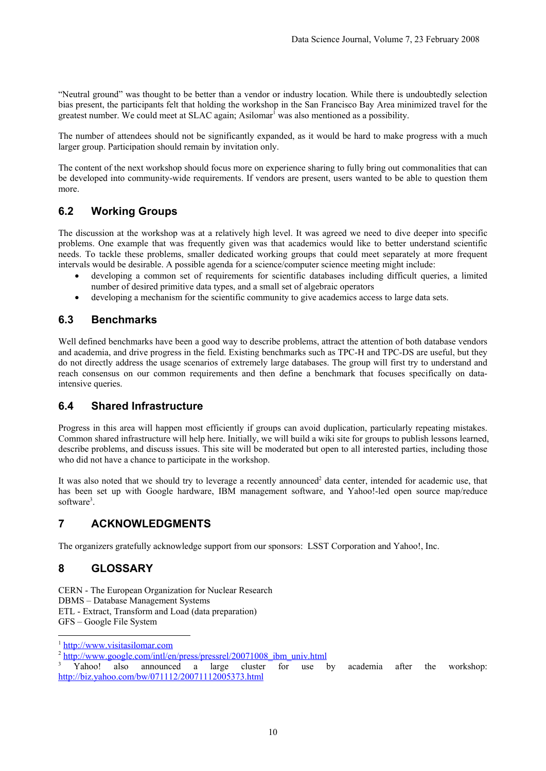"Neutral ground" was thought to be better than a vendor or industry location. While there is undoubtedly selection bias present, the participants felt that holding the workshop in the San Francisco Bay Area minimized travel for the greatest number. We could meet at SLAC again; Asilomar<sup>1</sup> was also mentioned as a possibility.

The number of attendees should not be significantly expanded, as it would be hard to make progress with a much larger group. Participation should remain by invitation only.

The content of the next workshop should focus more on experience sharing to fully bring out commonalities that can be developed into community-wide requirements. If vendors are present, users wanted to be able to question them more.

# **6.2 Working Groups**

The discussion at the workshop was at a relatively high level. It was agreed we need to dive deeper into specific problems. One example that was frequently given was that academics would like to better understand scientific needs. To tackle these problems, smaller dedicated working groups that could meet separately at more frequent intervals would be desirable. A possible agenda for a science/computer science meeting might include:

- developing a common set of requirements for scientific databases including difficult queries, a limited number of desired primitive data types, and a small set of algebraic operators
- developing a mechanism for the scientific community to give academics access to large data sets.

#### **6.3 Benchmarks**

Well defined benchmarks have been a good way to describe problems, attract the attention of both database vendors and academia, and drive progress in the field. Existing benchmarks such as TPC-H and TPC-DS are useful, but they do not directly address the usage scenarios of extremely large databases. The group will first try to understand and reach consensus on our common requirements and then define a benchmark that focuses specifically on dataintensive queries.

#### **6.4 Shared Infrastructure**

Progress in this area will happen most efficiently if groups can avoid duplication, particularly repeating mistakes. Common shared infrastructure will help here. Initially, we will build a wiki site for groups to publish lessons learned, describe problems, and discuss issues. This site will be moderated but open to all interested parties, including those who did not have a chance to participate in the workshop.

It was also noted that we should try to leverage a recently announced<sup>2</sup> data center, intended for academic use, that has been set up with Google hardware, IBM management software, and Yahoo!-led open source map/reduce software<sup>3</sup>.

# **7 ACKNOWLEDGMENTS**

The organizers gratefully acknowledge support from our sponsors: LSST Corporation and Yahoo!, Inc.

# **8 GLOSSARY**

CERN - The European Organization for Nuclear Research DBMS – Database Management Systems ETL - Extract, Transform and Load (data preparation) GFS – Google File System

l <sup>1</sup> http://www.visitasilomar.com

 $\frac{2 \text{ http://www.google.com/int/en/press/pressrel/20071008\_ibm\_univ.html}}{\text{Yahoo!}}$  also announced a large cluster for use

<sup>3</sup> Yahoo! also announced a large cluster for use by academia after the workshop: http://biz.yahoo.com/bw/071112/20071112005373.html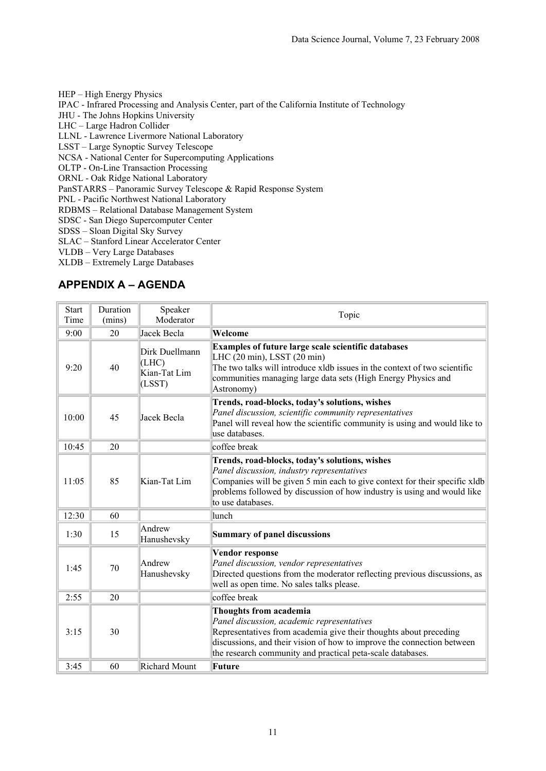HEP – High Energy Physics IPAC - Infrared Processing and Analysis Center, part of the California Institute of Technology JHU - The Johns Hopkins University LHC – Large Hadron Collider LLNL - Lawrence Livermore National Laboratory LSST – Large Synoptic Survey Telescope NCSA - National Center for Supercomputing Applications OLTP - On-Line Transaction Processing ORNL - Oak Ridge National Laboratory PanSTARRS – Panoramic Survey Telescope & Rapid Response System PNL - Pacific Northwest National Laboratory RDBMS – Relational Database Management System SDSC - San Diego Supercomputer Center SDSS – Sloan Digital Sky Survey

SLAC – Stanford Linear Accelerator Center

VLDB – Very Large Databases

XLDB – Extremely Large Databases

#### **APPENDIX A – AGENDA**

| <b>Start</b> | Duration | Speaker                                           | Topic                                                                                                                                                                                                                                                                             |
|--------------|----------|---------------------------------------------------|-----------------------------------------------------------------------------------------------------------------------------------------------------------------------------------------------------------------------------------------------------------------------------------|
| Time         | (mins)   | Moderator                                         |                                                                                                                                                                                                                                                                                   |
| 9:00         | 20       | Jacek Becla                                       | Welcome                                                                                                                                                                                                                                                                           |
| 9:20         | 40       | Dirk Duellmann<br>(LHC)<br>Kian-Tat Lim<br>(LSST) | <b>Examples of future large scale scientific databases</b><br>LHC (20 min), LSST (20 min)<br>The two talks will introduce xldb issues in the context of two scientific<br>communities managing large data sets (High Energy Physics and<br>Astronomy)                             |
| 10:00        | 45       | Jacek Becla                                       | Trends, road-blocks, today's solutions, wishes<br>Panel discussion, scientific community representatives<br>Panel will reveal how the scientific community is using and would like to<br>use databases.                                                                           |
| 10:45        | 20       |                                                   | coffee break                                                                                                                                                                                                                                                                      |
| 11:05        | 85       | Kian-Tat Lim                                      | Trends, road-blocks, today's solutions, wishes<br>Panel discussion, industry representatives<br>Companies will be given 5 min each to give context for their specific xldb<br>problems followed by discussion of how industry is using and would like<br>to use databases.        |
| 12:30        | 60       |                                                   | lunch                                                                                                                                                                                                                                                                             |
| 1:30         | 15       | Andrew<br>Hanushevsky                             | <b>Summary of panel discussions</b>                                                                                                                                                                                                                                               |
| 1:45         | 70       | Andrew<br>Hanushevsky                             | <b>Vendor response</b><br>Panel discussion, vendor representatives<br>Directed questions from the moderator reflecting previous discussions, as<br>well as open time. No sales talks please.                                                                                      |
| 2:55         | 20       |                                                   | coffee break                                                                                                                                                                                                                                                                      |
| 3:15         | 30       |                                                   | Thoughts from academia<br>Panel discussion, academic representatives<br>Representatives from academia give their thoughts about preceding<br>discussions, and their vision of how to improve the connection between<br>the research community and practical peta-scale databases. |
| 3:45         | 60       | <b>Richard Mount</b>                              | Future                                                                                                                                                                                                                                                                            |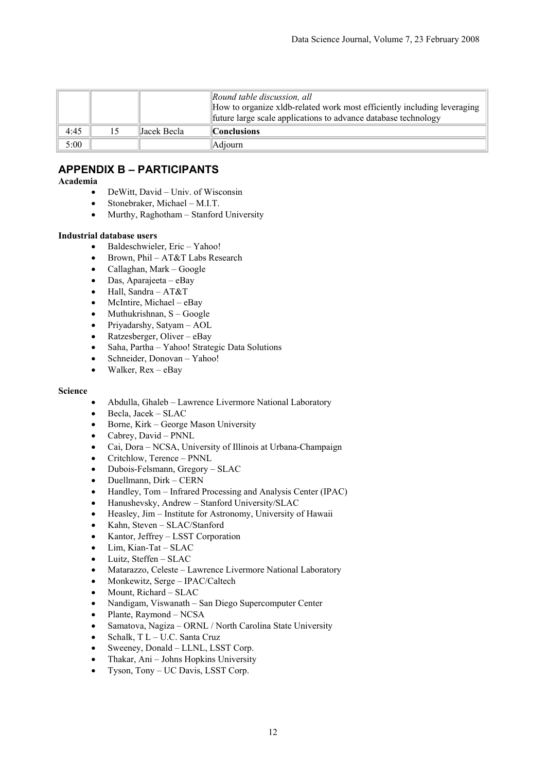|      |    |             | Round table discussion, all<br>How to organize xldb-related work most efficiently including leveraging<br>future large scale applications to advance database technology |
|------|----|-------------|--------------------------------------------------------------------------------------------------------------------------------------------------------------------------|
| 4:45 | 15 | Jacek Becla | <b>Conclusions</b>                                                                                                                                                       |
| 5:00 |    |             | Adjourn                                                                                                                                                                  |

# **APPENDIX B – PARTICIPANTS**

#### **Academia**

- DeWitt, David Univ. of Wisconsin
- Stonebraker, Michael M.I.T.
- Murthy, Raghotham Stanford University

#### **Industrial database users**

- Baldeschwieler, Eric Yahoo!
- Brown, Phil AT&T Labs Research
- Callaghan, Mark Google
- Das, Aparajeeta eBay
- Hall, Sandra AT&T
- McIntire, Michael eBay
- Muthukrishnan, S Google
- Priyadarshy, Satyam AOL
- Ratzesberger, Oliver eBay
- Saha, Partha Yahoo! Strategic Data Solutions
- Schneider, Donovan Yahoo!
- Walker, Rex eBay

#### **Science**

- Abdulla, Ghaleb Lawrence Livermore National Laboratory
- Becla, Jacek SLAC
- Borne, Kirk George Mason University
- Cabrey, David PNNL
- Cai, Dora NCSA, University of Illinois at Urbana-Champaign
- Critchlow, Terence PNNL
- Dubois-Felsmann, Gregory SLAC
- Duellmann, Dirk CERN
- Handley, Tom Infrared Processing and Analysis Center (IPAC)
- Hanushevsky, Andrew Stanford University/SLAC
- Heasley, Jim Institute for Astronomy, University of Hawaii
- Kahn, Steven SLAC/Stanford
- Kantor, Jeffrey LSST Corporation
- Lim, Kian-Tat SLAC
- Luitz, Steffen SLAC
- Matarazzo, Celeste Lawrence Livermore National Laboratory
- Monkewitz, Serge IPAC/Caltech
- Mount, Richard SLAC
- Nandigam, Viswanath San Diego Supercomputer Center
- Plante, Raymond NCSA
- Samatova, Nagiza ORNL / North Carolina State University
- Schalk, T L U.C. Santa Cruz
- Sweeney, Donald LLNL, LSST Corp.
- Thakar, Ani Johns Hopkins University
- Tyson, Tony UC Davis, LSST Corp.